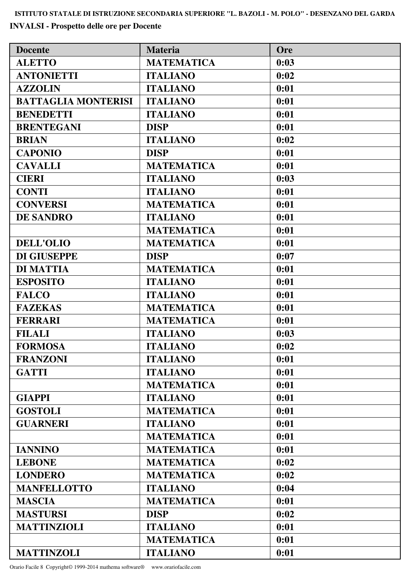**INVALSI - Prospetto delle ore per Docente**

| <b>Docente</b>             | <b>Materia</b>    | <b>Ore</b> |
|----------------------------|-------------------|------------|
| <b>ALETTO</b>              | <b>MATEMATICA</b> | 0:03       |
| <b>ANTONIETTI</b>          | <b>ITALIANO</b>   | 0:02       |
| <b>AZZOLIN</b>             | <b>ITALIANO</b>   | 0:01       |
| <b>BATTAGLIA MONTERISI</b> | <b>ITALIANO</b>   | 0:01       |
| <b>BENEDETTI</b>           | <b>ITALIANO</b>   | 0:01       |
| <b>BRENTEGANI</b>          | <b>DISP</b>       | 0:01       |
| <b>BRIAN</b>               | <b>ITALIANO</b>   | 0:02       |
| <b>CAPONIO</b>             | <b>DISP</b>       | 0:01       |
| <b>CAVALLI</b>             | <b>MATEMATICA</b> | 0:01       |
| <b>CIERI</b>               | <b>ITALIANO</b>   | 0:03       |
| <b>CONTI</b>               | <b>ITALIANO</b>   | 0:01       |
| <b>CONVERSI</b>            | <b>MATEMATICA</b> | 0:01       |
| <b>DE SANDRO</b>           | <b>ITALIANO</b>   | 0:01       |
|                            | <b>MATEMATICA</b> | 0:01       |
| <b>DELL'OLIO</b>           | <b>MATEMATICA</b> | 0:01       |
| <b>DI GIUSEPPE</b>         | <b>DISP</b>       | 0:07       |
| <b>DI MATTIA</b>           | <b>MATEMATICA</b> | 0:01       |
| <b>ESPOSITO</b>            | <b>ITALIANO</b>   | 0:01       |
| <b>FALCO</b>               | <b>ITALIANO</b>   | 0:01       |
| <b>FAZEKAS</b>             | <b>MATEMATICA</b> | 0:01       |
| <b>FERRARI</b>             | <b>MATEMATICA</b> | 0:01       |
| <b>FILALI</b>              | <b>ITALIANO</b>   | 0:03       |
| <b>FORMOSA</b>             | <b>ITALIANO</b>   | 0:02       |
| <b>FRANZONI</b>            | <b>ITALIANO</b>   | 0:01       |
| <b>GATTI</b>               | <b>ITALIANO</b>   | 0:01       |
|                            | <b>MATEMATICA</b> | 0:01       |
| <b>GIAPPI</b>              | <b>ITALIANO</b>   | 0:01       |
| <b>GOSTOLI</b>             | <b>MATEMATICA</b> | 0:01       |
| <b>GUARNERI</b>            | <b>ITALIANO</b>   | 0:01       |
|                            | <b>MATEMATICA</b> | 0:01       |
| <b>IANNINO</b>             | <b>MATEMATICA</b> | 0:01       |
| <b>LEBONE</b>              | <b>MATEMATICA</b> | 0:02       |
| <b>LONDERO</b>             | <b>MATEMATICA</b> | 0:02       |
| <b>MANFELLOTTO</b>         | <b>ITALIANO</b>   | 0:04       |
| <b>MASCIA</b>              | <b>MATEMATICA</b> | 0:01       |
| <b>MASTURSI</b>            | <b>DISP</b>       | 0:02       |
| <b>MATTINZIOLI</b>         | <b>ITALIANO</b>   | 0:01       |
|                            | <b>MATEMATICA</b> | 0:01       |
| <b>MATTINZOLI</b>          | <b>ITALIANO</b>   | 0:01       |

Orario Facile 8 Copyright© 1999-2014 mathema software® www.orariofacile.com